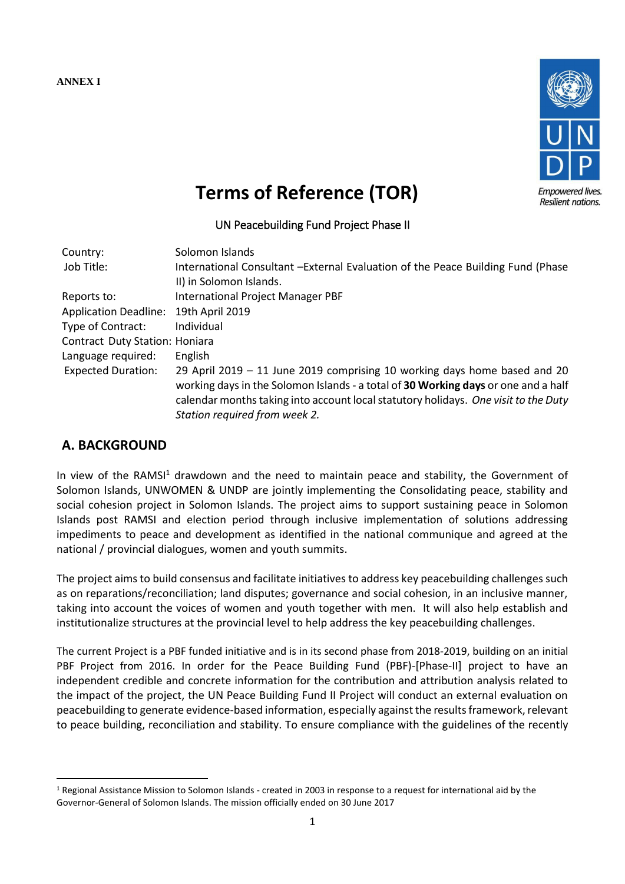**ANNEX I**



# **Terms of Reference (TOR)**

## UN Peacebuilding Fund Project Phase II

| Country:                              | Solomon Islands                                                                     |
|---------------------------------------|-------------------------------------------------------------------------------------|
| Job Title:                            | International Consultant -External Evaluation of the Peace Building Fund (Phase     |
|                                       | II) in Solomon Islands.                                                             |
| Reports to:                           | <b>International Project Manager PBF</b>                                            |
| <b>Application Deadline:</b>          | 19th April 2019                                                                     |
| Type of Contract:                     | Individual                                                                          |
| <b>Contract Duty Station: Honiara</b> |                                                                                     |
| Language required:                    | English                                                                             |
| <b>Expected Duration:</b>             | 29 April 2019 $-$ 11 June 2019 comprising 10 working days home based and 20         |
|                                       | working days in the Solomon Islands - a total of 30 Working days or one and a half  |
|                                       | calendar months taking into account local statutory holidays. One visit to the Duty |
|                                       | Station required from week 2.                                                       |

# **A. BACKGROUND**

**.** 

In view of the RAMSI<sup>1</sup> drawdown and the need to maintain peace and stability, the Government of Solomon Islands, UNWOMEN & UNDP are jointly implementing the Consolidating peace, stability and social cohesion project in Solomon Islands. The project aims to support sustaining peace in Solomon Islands post RAMSI and election period through inclusive implementation of solutions addressing impediments to peace and development as identified in the national communique and agreed at the national / provincial dialogues, women and youth summits.

The project aims to build consensus and facilitate initiatives to address key peacebuilding challenges such as on reparations/reconciliation; land disputes; governance and social cohesion, in an inclusive manner, taking into account the voices of women and youth together with men. It will also help establish and institutionalize structures at the provincial level to help address the key peacebuilding challenges.

The current Project is a PBF funded initiative and is in its second phase from 2018-2019, building on an initial PBF Project from 2016. In order for the Peace Building Fund (PBF)-[Phase-II] project to have an independent credible and concrete information for the contribution and attribution analysis related to the impact of the project, the UN Peace Building Fund II Project will conduct an external evaluation on peacebuilding to generate evidence-based information, especially against the results framework, relevant to peace building, reconciliation and stability. To ensure compliance with the guidelines of the recently

<sup>1</sup> Regional Assistance Mission to Solomon Islands - created in 2003 in response to a request for international aid by the Governor-General of Solomon Islands. The mission officially ended on 30 June 2017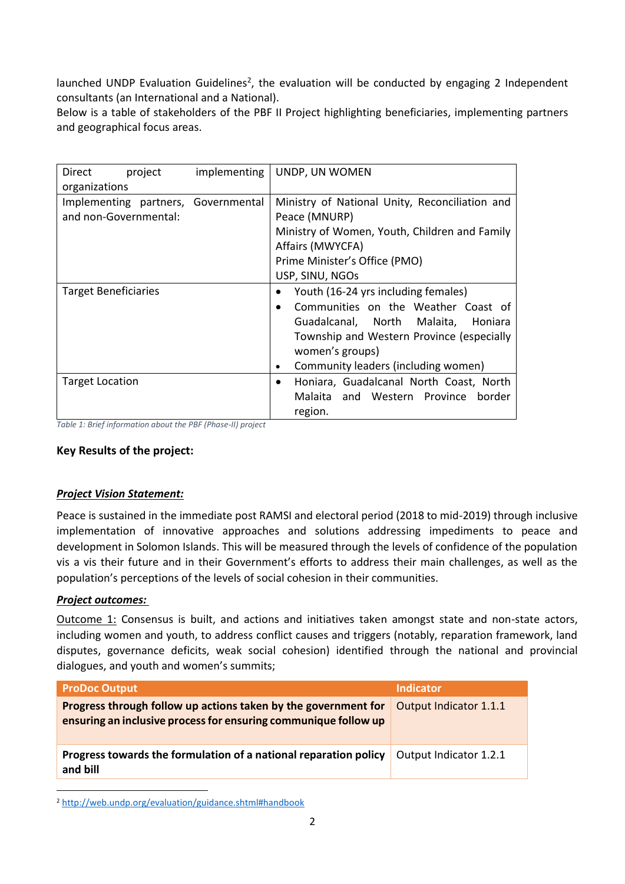launched UNDP Evaluation Guidelines<sup>2</sup>, the evaluation will be conducted by engaging 2 Independent consultants (an International and a National).

Below is a table of stakeholders of the PBF II Project highlighting beneficiaries, implementing partners and geographical focus areas.

| Direct<br>project                   | implementing | UNDP, UN WOMEN                                       |
|-------------------------------------|--------------|------------------------------------------------------|
| organizations                       |              |                                                      |
| Implementing partners, Governmental |              | Ministry of National Unity, Reconciliation and       |
| and non-Governmental:               |              | Peace (MNURP)                                        |
|                                     |              | Ministry of Women, Youth, Children and Family        |
|                                     |              | Affairs (MWYCFA)                                     |
|                                     |              | Prime Minister's Office (PMO)                        |
|                                     |              | USP, SINU, NGOs                                      |
| <b>Target Beneficiaries</b>         |              | Youth (16-24 yrs including females)                  |
|                                     |              | Communities on the Weather Coast of<br>$\bullet$     |
|                                     |              | Guadalcanal, North Malaita,<br>Honiara               |
|                                     |              | Township and Western Province (especially            |
|                                     |              | women's groups)                                      |
|                                     |              | Community leaders (including women)<br>٠             |
| <b>Target Location</b>              |              | Honiara, Guadalcanal North Coast, North<br>$\bullet$ |
|                                     |              | Malaita and Western Province border                  |
|                                     |              | region.                                              |

*Table 1: Brief information about the PBF (Phase-II) project*

#### **Key Results of the project:**

#### *Project Vision Statement:*

Peace is sustained in the immediate post RAMSI and electoral period (2018 to mid-2019) through inclusive implementation of innovative approaches and solutions addressing impediments to peace and development in Solomon Islands. This will be measured through the levels of confidence of the population vis a vis their future and in their Government's efforts to address their main challenges, as well as the population's perceptions of the levels of social cohesion in their communities.

#### *Project outcomes:*

**.** 

Outcome 1: Consensus is built, and actions and initiatives taken amongst state and non-state actors, including women and youth, to address conflict causes and triggers (notably, reparation framework, land disputes, governance deficits, weak social cohesion) identified through the national and provincial dialogues, and youth and women's summits;

| <b>ProDoc Output</b>                                                                                                              | Indicator              |
|-----------------------------------------------------------------------------------------------------------------------------------|------------------------|
| Progress through follow up actions taken by the government for<br>ensuring an inclusive process for ensuring communique follow up | Output Indicator 1.1.1 |
| Progress towards the formulation of a national reparation policy<br>and bill                                                      | Output Indicator 1.2.1 |

<sup>2</sup> <http://web.undp.org/evaluation/guidance.shtml#handbook>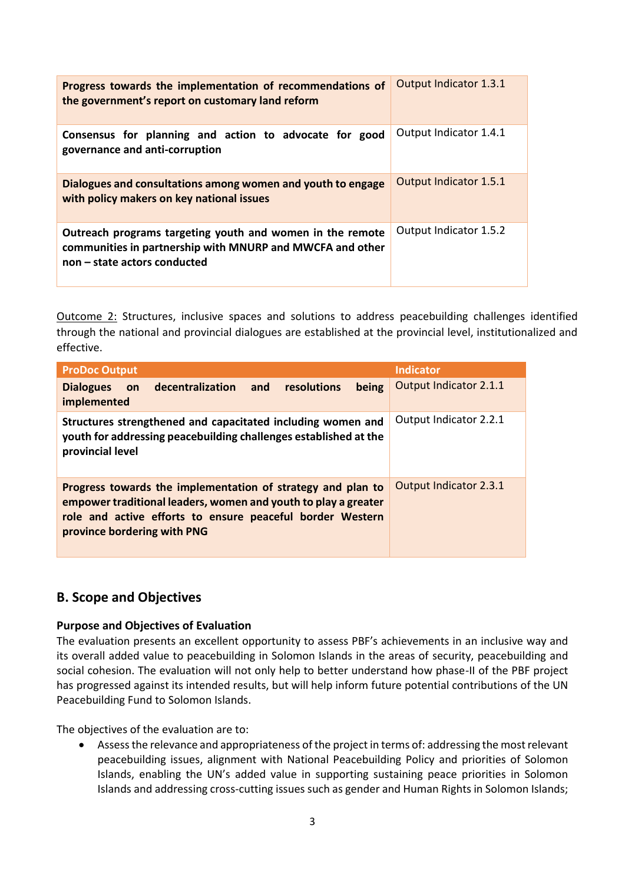| Progress towards the implementation of recommendations of<br>the government's report on customary land reform                                          | Output Indicator 1.3.1 |
|--------------------------------------------------------------------------------------------------------------------------------------------------------|------------------------|
| Consensus for planning and action to advocate for good<br>governance and anti-corruption                                                               | Output Indicator 1.4.1 |
| Dialogues and consultations among women and youth to engage<br>with policy makers on key national issues                                               | Output Indicator 1.5.1 |
| Outreach programs targeting youth and women in the remote<br>communities in partnership with MNURP and MWCFA and other<br>non – state actors conducted | Output Indicator 1.5.2 |

Outcome 2: Structures, inclusive spaces and solutions to address peacebuilding challenges identified through the national and provincial dialogues are established at the provincial level, institutionalized and effective.

| <b>ProDoc Output</b>                                                                                                                                                                                                      | <b>Indicator</b>       |
|---------------------------------------------------------------------------------------------------------------------------------------------------------------------------------------------------------------------------|------------------------|
| resolutions<br>on decentralization and<br><b>Dialogues</b><br>being<br>implemented                                                                                                                                        | Output Indicator 2.1.1 |
| Structures strengthened and capacitated including women and<br>youth for addressing peacebuilding challenges established at the<br>provincial level                                                                       | Output Indicator 2.2.1 |
| Progress towards the implementation of strategy and plan to<br>empower traditional leaders, women and youth to play a greater<br>role and active efforts to ensure peaceful border Western<br>province bordering with PNG | Output Indicator 2.3.1 |

## **B. Scope and Objectives**

#### **Purpose and Objectives of Evaluation**

The evaluation presents an excellent opportunity to assess PBF's achievements in an inclusive way and its overall added value to peacebuilding in Solomon Islands in the areas of security, peacebuilding and social cohesion. The evaluation will not only help to better understand how phase-II of the PBF project has progressed against its intended results, but will help inform future potential contributions of the UN Peacebuilding Fund to Solomon Islands.

The objectives of the evaluation are to:

• Assess the relevance and appropriateness of the project in terms of: addressing the most relevant peacebuilding issues, alignment with National Peacebuilding Policy and priorities of Solomon Islands, enabling the UN's added value in supporting sustaining peace priorities in Solomon Islands and addressing cross-cutting issues such as gender and Human Rights in Solomon Islands;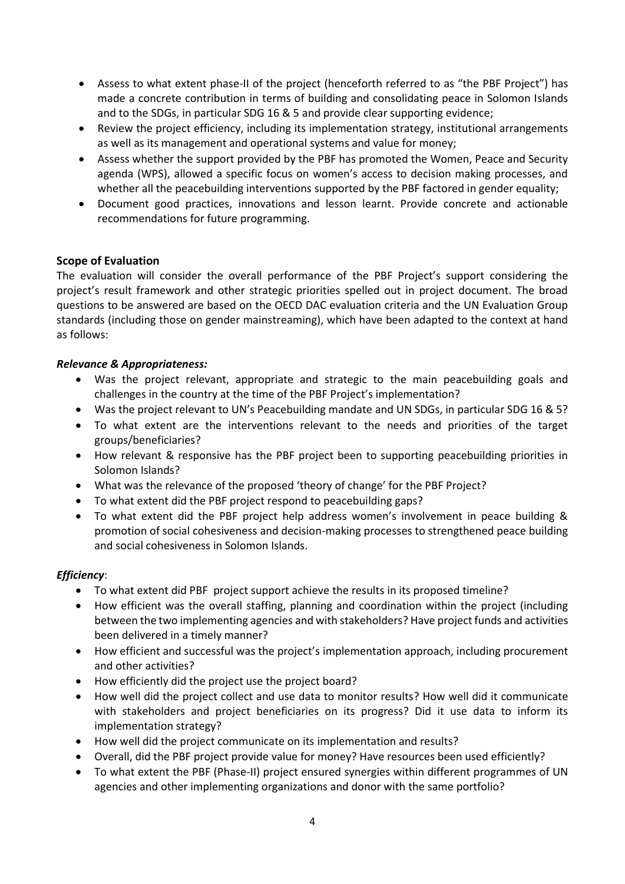- Assess to what extent phase-II of the project (henceforth referred to as "the PBF Project") has made a concrete contribution in terms of building and consolidating peace in Solomon Islands and to the SDGs, in particular SDG 16 & 5 and provide clear supporting evidence;
- Review the project efficiency, including its implementation strategy, institutional arrangements as well as its management and operational systems and value for money;
- Assess whether the support provided by the PBF has promoted the Women, Peace and Security agenda (WPS), allowed a specific focus on women's access to decision making processes, and whether all the peacebuilding interventions supported by the PBF factored in gender equality;
- Document good practices, innovations and lesson learnt. Provide concrete and actionable recommendations for future programming.

## **Scope of Evaluation**

The evaluation will consider the overall performance of the PBF Project's support considering the project's result framework and other strategic priorities spelled out in project document. The broad questions to be answered are based on the OECD DAC evaluation criteria and the UN Evaluation Group standards (including those on gender mainstreaming), which have been adapted to the context at hand as follows:

#### *Relevance & Appropriateness:*

- Was the project relevant, appropriate and strategic to the main peacebuilding goals and challenges in the country at the time of the PBF Project's implementation?
- Was the project relevant to UN's Peacebuilding mandate and UN SDGs, in particular SDG 16 & 5?
- To what extent are the interventions relevant to the needs and priorities of the target groups/beneficiaries?
- How relevant & responsive has the PBF project been to supporting peacebuilding priorities in Solomon Islands?
- What was the relevance of the proposed 'theory of change' for the PBF Project?
- To what extent did the PBF project respond to peacebuilding gaps?
- To what extent did the PBF project help address women's involvement in peace building & promotion of social cohesiveness and decision-making processes to strengthened peace building and social cohesiveness in Solomon Islands.

## *Efficiency*:

- To what extent did PBF project support achieve the results in its proposed timeline?
- How efficient was the overall staffing, planning and coordination within the project (including between the two implementing agencies and with stakeholders? Have project funds and activities been delivered in a timely manner?
- How efficient and successful was the project's implementation approach, including procurement and other activities?
- How efficiently did the project use the project board?
- How well did the project collect and use data to monitor results? How well did it communicate with stakeholders and project beneficiaries on its progress? Did it use data to inform its implementation strategy?
- How well did the project communicate on its implementation and results?
- Overall, did the PBF project provide value for money? Have resources been used efficiently?
- To what extent the PBF (Phase-II) project ensured synergies within different programmes of UN agencies and other implementing organizations and donor with the same portfolio?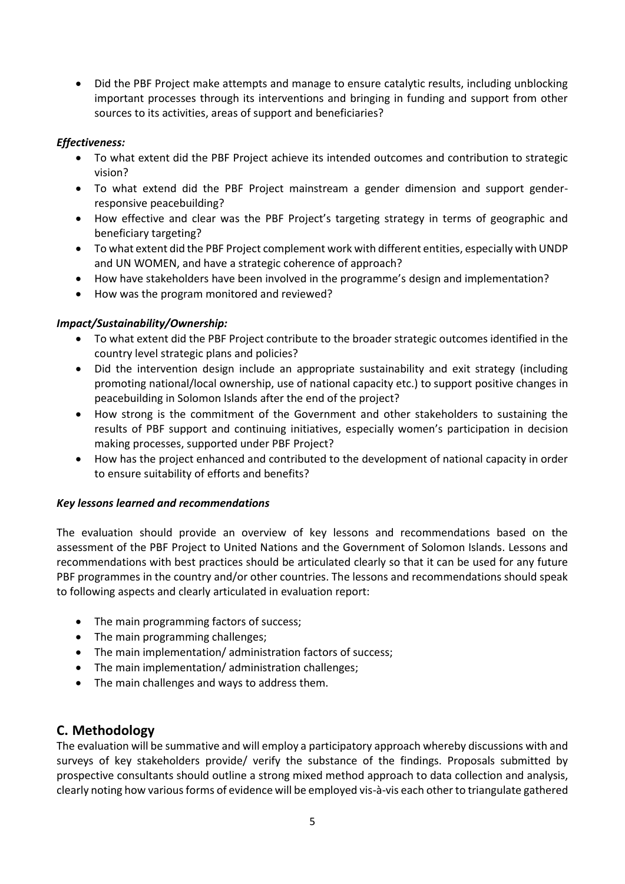• Did the PBF Project make attempts and manage to ensure catalytic results, including unblocking important processes through its interventions and bringing in funding and support from other sources to its activities, areas of support and beneficiaries?

### *Effectiveness:*

- To what extent did the PBF Project achieve its intended outcomes and contribution to strategic vision?
- To what extend did the PBF Project mainstream a gender dimension and support genderresponsive peacebuilding?
- How effective and clear was the PBF Project's targeting strategy in terms of geographic and beneficiary targeting?
- To what extent did the PBF Project complement work with different entities, especially with UNDP and UN WOMEN, and have a strategic coherence of approach?
- How have stakeholders have been involved in the programme's design and implementation?
- How was the program monitored and reviewed?

#### *Impact/Sustainability/Ownership:*

- To what extent did the PBF Project contribute to the broader strategic outcomes identified in the country level strategic plans and policies?
- Did the intervention design include an appropriate sustainability and exit strategy (including promoting national/local ownership, use of national capacity etc.) to support positive changes in peacebuilding in Solomon Islands after the end of the project?
- How strong is the commitment of the Government and other stakeholders to sustaining the results of PBF support and continuing initiatives, especially women's participation in decision making processes, supported under PBF Project?
- How has the project enhanced and contributed to the development of national capacity in order to ensure suitability of efforts and benefits?

#### *Key lessons learned and recommendations*

The evaluation should provide an overview of key lessons and recommendations based on the assessment of the PBF Project to United Nations and the Government of Solomon Islands. Lessons and recommendations with best practices should be articulated clearly so that it can be used for any future PBF programmes in the country and/or other countries. The lessons and recommendations should speak to following aspects and clearly articulated in evaluation report:

- The main programming factors of success;
- The main programming challenges;
- The main implementation/ administration factors of success;
- The main implementation/ administration challenges;
- The main challenges and ways to address them.

# **C. Methodology**

The evaluation will be summative and will employ a participatory approach whereby discussions with and surveys of key stakeholders provide/ verify the substance of the findings. Proposals submitted by prospective consultants should outline a strong mixed method approach to data collection and analysis, clearly noting how various forms of evidence will be employed vis-à-vis each other to triangulate gathered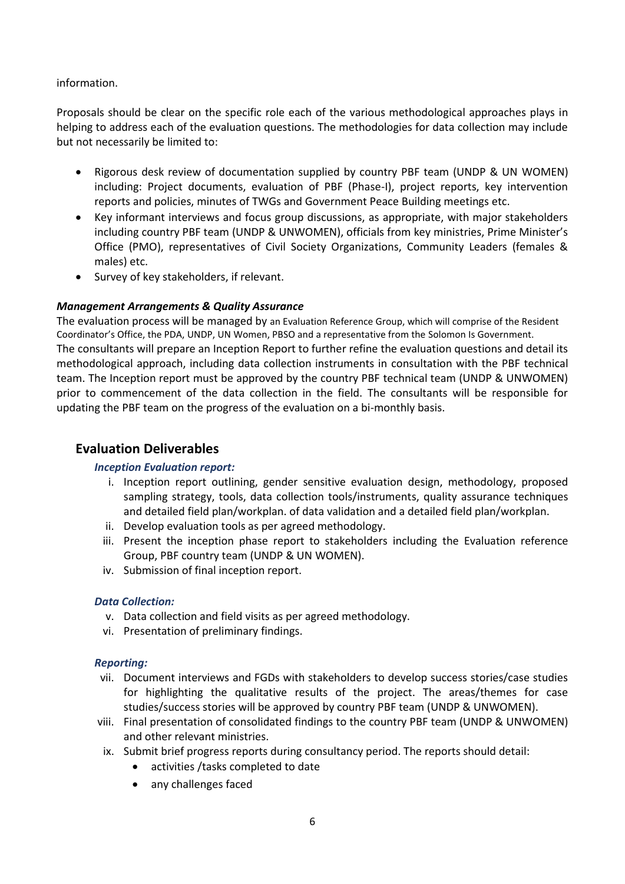#### information.

Proposals should be clear on the specific role each of the various methodological approaches plays in helping to address each of the evaluation questions. The methodologies for data collection may include but not necessarily be limited to:

- Rigorous desk review of documentation supplied by country PBF team (UNDP & UN WOMEN) including: Project documents, evaluation of PBF (Phase-I), project reports, key intervention reports and policies, minutes of TWGs and Government Peace Building meetings etc.
- Key informant interviews and focus group discussions, as appropriate, with major stakeholders including country PBF team (UNDP & UNWOMEN), officials from key ministries, Prime Minister's Office (PMO), representatives of Civil Society Organizations, Community Leaders (females & males) etc.
- Survey of key stakeholders, if relevant.

#### *Management Arrangements & Quality Assurance*

The evaluation process will be managed by an Evaluation Reference Group, which will comprise of the Resident Coordinator's Office, the PDA, UNDP, UN Women, PBSO and a representative from the Solomon Is Government. The consultants will prepare an Inception Report to further refine the evaluation questions and detail its methodological approach, including data collection instruments in consultation with the PBF technical team. The Inception report must be approved by the country PBF technical team (UNDP & UNWOMEN) prior to commencement of the data collection in the field. The consultants will be responsible for updating the PBF team on the progress of the evaluation on a bi-monthly basis.

# **Evaluation Deliverables**

#### *Inception Evaluation report:*

- i. Inception report outlining, gender sensitive evaluation design, methodology, proposed sampling strategy, tools, data collection tools/instruments, quality assurance techniques and detailed field plan/workplan. of data validation and a detailed field plan/workplan.
- ii. Develop evaluation tools as per agreed methodology.
- iii. Present the inception phase report to stakeholders including the Evaluation reference Group, PBF country team (UNDP & UN WOMEN).
- iv. Submission of final inception report.

#### *Data Collection:*

- v. Data collection and field visits as per agreed methodology.
- vi. Presentation of preliminary findings.

#### *Reporting:*

- vii. Document interviews and FGDs with stakeholders to develop success stories/case studies for highlighting the qualitative results of the project. The areas/themes for case studies/success stories will be approved by country PBF team (UNDP & UNWOMEN).
- viii. Final presentation of consolidated findings to the country PBF team (UNDP & UNWOMEN) and other relevant ministries.
- ix. Submit brief progress reports during consultancy period. The reports should detail:
	- activities /tasks completed to date
	- any challenges faced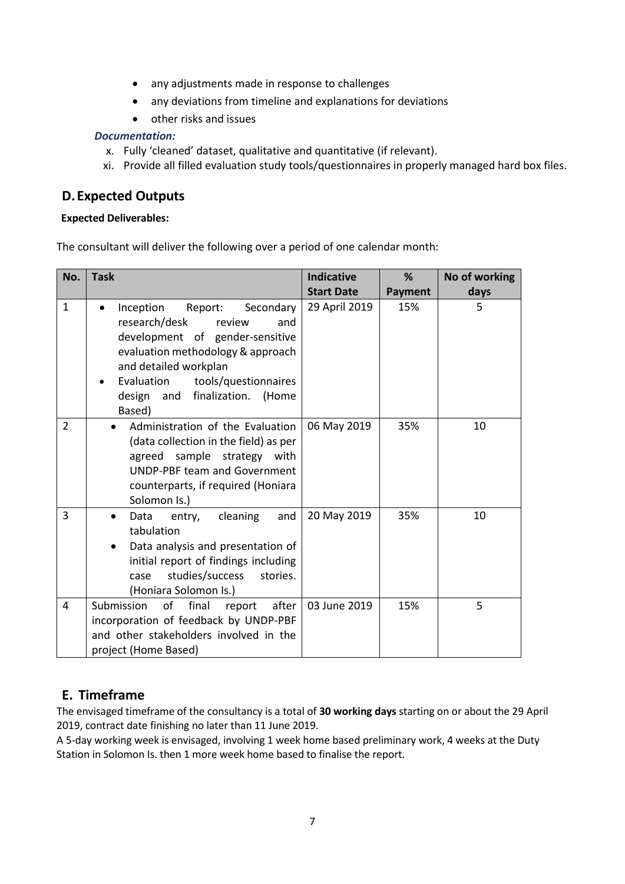- any adjustments made in response to challenges
- any deviations from timeline and explanations for deviations
- other risks and issues

#### *Documentation:*

- x. Fully 'cleaned' dataset, qualitative and quantitative (if relevant).
- xi. Provide all filled evaluation study tools/questionnaires in properly managed hard box files.

# **D.Expected Outputs**

#### **Expected Deliverables:**

The consultant will deliver the following over a period of one calendar month:

| No.            | <b>Task</b>                                                                                                                                                                                                                                            | <b>Indicative</b> | %              | No of working |
|----------------|--------------------------------------------------------------------------------------------------------------------------------------------------------------------------------------------------------------------------------------------------------|-------------------|----------------|---------------|
|                |                                                                                                                                                                                                                                                        | <b>Start Date</b> | <b>Payment</b> | days          |
| $\mathbf{1}$   | Inception<br>Report:<br>Secondary<br>research/desk<br>review<br>and<br>development of gender-sensitive<br>evaluation methodology & approach<br>and detailed workplan<br>Evaluation<br>tools/questionnaires<br>design and finalization. (Home<br>Based) | 29 April 2019     | 15%            | 5             |
| $\overline{2}$ | Administration of the Evaluation<br>(data collection in the field) as per<br>agreed sample strategy with<br><b>UNDP-PBF team and Government</b><br>counterparts, if required (Honiara<br>Solomon Is.)                                                  | 06 May 2019       | 35%            | 10            |
| 3              | cleaning<br>and<br>Data entry,<br>tabulation<br>Data analysis and presentation of<br>$\bullet$<br>initial report of findings including<br>studies/success<br>stories.<br>case<br>(Honiara Solomon Is.)                                                 | 20 May 2019       | 35%            | 10            |
| $\overline{4}$ | Submission<br>of<br>final<br>after<br>report<br>incorporation of feedback by UNDP-PBF<br>and other stakeholders involved in the<br>project (Home Based)                                                                                                | 03 June 2019      | 15%            | 5             |

# **E. Timeframe**

The envisaged timeframe of the consultancy is a total of **30 working days** starting on or about the 29 April 2019, contract date finishing no later than 11 June 2019.

A 5-day working week is envisaged, involving 1 week home based preliminary work, 4 weeks at the Duty Station in Solomon Is. then 1 more week home based to finalise the report.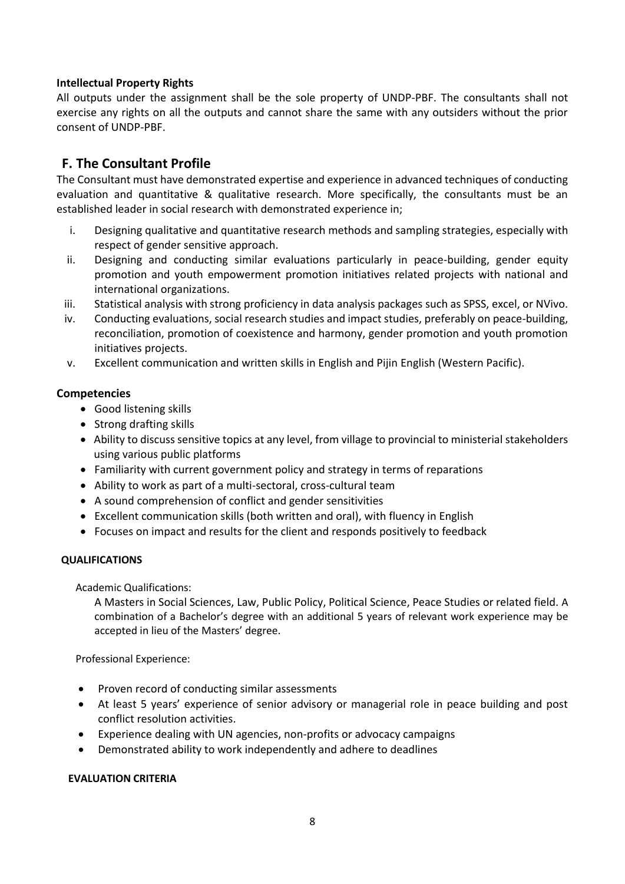#### **Intellectual Property Rights**

All outputs under the assignment shall be the sole property of UNDP-PBF. The consultants shall not exercise any rights on all the outputs and cannot share the same with any outsiders without the prior consent of UNDP-PBF.

# **F. The Consultant Profile**

The Consultant must have demonstrated expertise and experience in advanced techniques of conducting evaluation and quantitative & qualitative research. More specifically, the consultants must be an established leader in social research with demonstrated experience in;

- i. Designing qualitative and quantitative research methods and sampling strategies, especially with respect of gender sensitive approach.
- ii. Designing and conducting similar evaluations particularly in peace-building, gender equity promotion and youth empowerment promotion initiatives related projects with national and international organizations.
- iii. Statistical analysis with strong proficiency in data analysis packages such as SPSS, excel, or NVivo.
- iv. Conducting evaluations, social research studies and impact studies, preferably on peace-building, reconciliation, promotion of coexistence and harmony, gender promotion and youth promotion initiatives projects.
- v. Excellent communication and written skills in English and Pijin English (Western Pacific).

#### **Competencies**

- Good listening skills
- Strong drafting skills
- Ability to discuss sensitive topics at any level, from village to provincial to ministerial stakeholders using various public platforms
- Familiarity with current government policy and strategy in terms of reparations
- Ability to work as part of a multi-sectoral, cross-cultural team
- A sound comprehension of conflict and gender sensitivities
- Excellent communication skills (both written and oral), with fluency in English
- Focuses on impact and results for the client and responds positively to feedback

#### **QUALIFICATIONS**

Academic Qualifications:

A Masters in Social Sciences, Law, Public Policy, Political Science, Peace Studies or related field. A combination of a Bachelor's degree with an additional 5 years of relevant work experience may be accepted in lieu of the Masters' degree.

Professional Experience:

- Proven record of conducting similar assessments
- At least 5 years' experience of senior advisory or managerial role in peace building and post conflict resolution activities.
- Experience dealing with UN agencies, non-profits or advocacy campaigns
- Demonstrated ability to work independently and adhere to deadlines

#### **EVALUATION CRITERIA**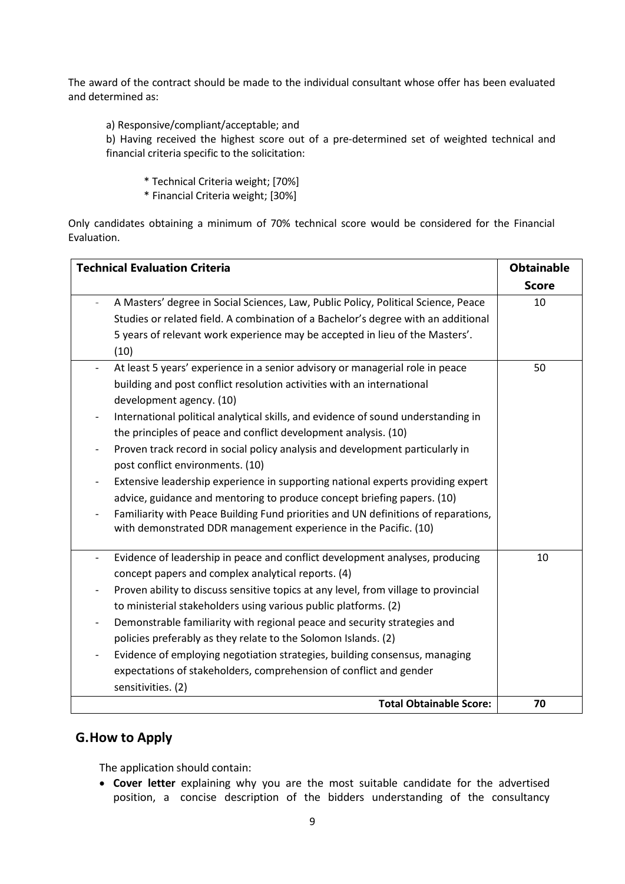The award of the contract should be made to the individual consultant whose offer has been evaluated and determined as:

a) Responsive/compliant/acceptable; and

b) Having received the highest score out of a pre-determined set of weighted technical and financial criteria specific to the solicitation:

- \* Technical Criteria weight; [70%]
- \* Financial Criteria weight; [30%]

Only candidates obtaining a minimum of 70% technical score would be considered for the Financial Evaluation.

| <b>Technical Evaluation Criteria</b>                                                                         | <b>Obtainable</b> |
|--------------------------------------------------------------------------------------------------------------|-------------------|
|                                                                                                              | <b>Score</b>      |
| A Masters' degree in Social Sciences, Law, Public Policy, Political Science, Peace                           | 10                |
| Studies or related field. A combination of a Bachelor's degree with an additional                            |                   |
| 5 years of relevant work experience may be accepted in lieu of the Masters'.                                 |                   |
| (10)                                                                                                         |                   |
| At least 5 years' experience in a senior advisory or managerial role in peace                                | 50                |
| building and post conflict resolution activities with an international                                       |                   |
| development agency. (10)                                                                                     |                   |
| International political analytical skills, and evidence of sound understanding in                            |                   |
| the principles of peace and conflict development analysis. (10)                                              |                   |
| Proven track record in social policy analysis and development particularly in                                |                   |
| post conflict environments. (10)                                                                             |                   |
| Extensive leadership experience in supporting national experts providing expert                              |                   |
| advice, guidance and mentoring to produce concept briefing papers. (10)                                      |                   |
| Familiarity with Peace Building Fund priorities and UN definitions of reparations,                           |                   |
| with demonstrated DDR management experience in the Pacific. (10)                                             |                   |
| Evidence of leadership in peace and conflict development analyses, producing<br>$\qquad \qquad \blacksquare$ | 10                |
| concept papers and complex analytical reports. (4)                                                           |                   |
| Proven ability to discuss sensitive topics at any level, from village to provincial                          |                   |
| to ministerial stakeholders using various public platforms. (2)                                              |                   |
| Demonstrable familiarity with regional peace and security strategies and                                     |                   |
| policies preferably as they relate to the Solomon Islands. (2)                                               |                   |
| Evidence of employing negotiation strategies, building consensus, managing                                   |                   |
| expectations of stakeholders, comprehension of conflict and gender                                           |                   |
| sensitivities. (2)                                                                                           |                   |
| <b>Total Obtainable Score:</b>                                                                               | 70                |

## **G.How to Apply**

The application should contain:

• **Cover letter** explaining why you are the most suitable candidate for the advertised position, a concise description of the bidders understanding of the consultancy